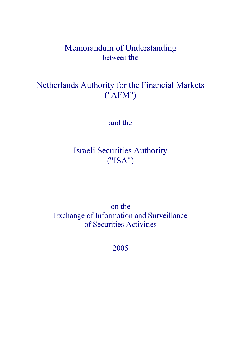# Memorandum of Understanding between the

# Netherlands Authority for the Financial Markets ("AFM")

and the

# Israeli Securities Authority ("ISA")

on the Exchange of Information and Surveillance of Securities Activities

2005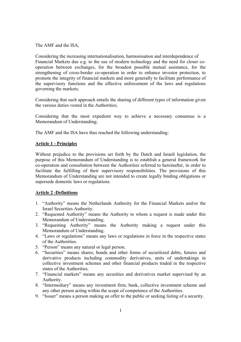The AMF and the ISA,

Considering the increasing internationalisation, harmonisation and interdependence of Financial Markets due e.g. to the use of modern technology and the need for closer cooperation between exchanges, for the broadest possible mutual assistance, for the strengthening of cross-border co-operation in order to enhance investor protection, to promote the integrity of financial markets and more generally to facilitate performance of the supervisory functions and the effective enforcement of the laws and regulations governing the markets;

Considering that such approach entails the sharing of different types of information given the various duties vested in the Authorities;

Considering that the most expedient way to achieve a necessary consensus is a Memorandum of Understanding;

The AMF and the ISA have thus reached the following understanding:

# **Article 1 - Principles**

Without prejudice to the provisions set forth by the Dutch and Israeli legislation, the purpose of this Memorandum of Understanding is to establish a general framework for co-operation and consultation between the Authorities referred to hereinafter, in order to facilitate the fulfilling of their supervisory responsibilities. The provisions of this Memorandum of Understanding are not intended to create legally binding obligations or supersede domestic laws or regulations.

# **Article 2 -Definitions**

- 1. "Authority" means the Netherlands Authority for the Financial Markets and/or the Israel Securities Authority.
- 2. "Requested Authority" means the Authority to whom a request is made under this Memorandum of Understanding.
- 3. "Requesting Authority" means the Authority making a request under this Memorandum of Understanding.
- 4. "Laws or regulations" means any laws or regulations in force in the respective states of the Authorities.
- 5. "Person" means any natural or legal person.
- 6. "Securities" means shares, bonds and other forms of securitized debts, futures and derivative products including commodity derivatives, units of undertakings in collective investment schemes and other financial products traded in the respective states of the Authorities.
- 7. "Financial markets" means any securities and derivatives market supervised by an Authority.
- 8. "Intermediary" means any investment firm, bank, collective investment scheme and any other person acting within the scope of competence of the Authorities.
- 9. "Issuer" means a person making an offer to the public or seeking listing of a security.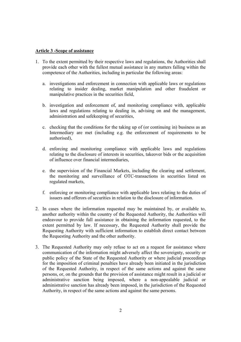### **Article 3 -Scope of assistance**

- 1. To the extent permitted by their respective laws and regulations, the Authorities shall provide each other with the fullest mutual assistance in any matters falling within the competence of the Authorities, including in particular the following areas:
	- a. investigations and enforcement in connection with applicable laws or regulations relating to insider dealing, market manipulation and other fraudulent or manipulative practices in the securities field,
	- b. investigation and enforcement of, and monitoring compliance with, applicable laws and regulations relating to dealing in, advising on and the management, administration and safekeeping of securities,
	- c. checking that the conditions for the taking up of (or continuing in) business as an Intermediary are met (including e.g. the enforcement of requirements to be authorised),
	- d. enforcing and monitoring compliance with applicable laws and regulations relating to the disclosure of interests in securities, takeover bids or the acquisition of influence over financial intermediaries,
	- e. the supervision of the Financial Markets, including the clearing and settlement, the monitoring and surveillance of OTC-transactions in securities listed on regulated markets,
	- f. enforcing or monitoring compliance with applicable laws relating to the duties of issuers and offerors of securities in relation to the disclosure of information.
- 2. In cases where the information requested may be maintained by, or available to, another authority within the country of the Requested Authority, the Authorities will endeavour to provide full assistance in obtaining the information requested, to the extent permitted by law. If necessary, the Requested Authority shall provide the Requesting Authority with sufficient information to establish direct contact between the Requesting Authority and the other authority.
- 3. The Requested Authority may only refuse to act on a request for assistance where communication of the information might adversely affect the sovereignty, security or public policy of the State of the Requested Authority or where judicial proceedings for the imposition of criminal penalties have already been initiated in the jurisdiction of the Requested Authority, in respect of the same actions and against the same persons, or, on the grounds that the provision of assistance might result in a judicial or administrative sanction being imposed, where a non-appealable judicial or administrative sanction has already been imposed, in the jurisdiction of the Requested Authority, in respect of the same actions and against the same persons.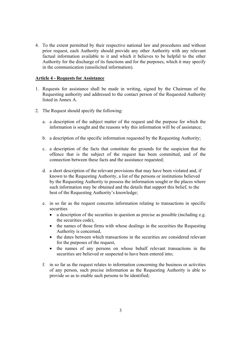4. To the extent permitted by their respective national law and procedures and without prior request, each Authority should provide any other Authority with any relevant factual information available to it and which it believes to be helpful to the other Authority for the discharge of its functions and for the purposes, which it may specify in the communication (unsolicited information).

# **Article 4 - Requests for Assistance**

- 1. Requests for assistance shall be made in writing, signed by the Chairman of the Requesting authority and addressed to the contact person of the Requested Authority listed in Annex A.
- 2. The Request should specify the following:
	- a. a description of the subject matter of the request and the purpose for which the information is sought and the reasons why this information will be of assistance;
	- b. a description of the specific information requested by the Requesting Authority;
	- c. a description of the facts that constitute the grounds for the suspicion that the offence that is the subject of the request has been committed, and of the connection between these facts and the assistance requested;
	- d. a short description of the relevant provisions that may have been violated and, if known to the Requesting Authority, a list of the persons or institutions believed by the Requesting Authority to possess the information sought or the places where such information may be obtained and the details that support this belief, to the best of the Requesting Authority's knowledge;
	- e. in so far as the request concerns information relating to transactions in specific securities.
		- a description of the securities in question as precise as possible (including e.g. the securities code),
		- the names of those firms with whose dealings in the securities the Requesting Authority is concerned,
		- the dates between which transactions in the securities are considered relevant for the purposes of the request,
		- the names of any persons on whose behalf relevant transactions in the securities are believed or suspected to have been entered into;
	- f. in so far as the request relates to information concerning the business or activities of any person, such precise information as the Requesting Authority is able to provide so as to enable such persons to be identified;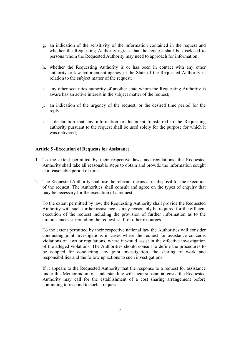- g. an indication of the sensitivity of the information contained in the request and whether the Requesting Authority agrees that the request shall be disclosed to persons whom the Requested Authority may need to approach for information;
- h. whether the Requesting Authority is or has been in contact with any other authority or law enforcement agency in the State of the Requested Authority in relation to the subject matter of the request;
- i. any other securities authority of another state whom the Requesting Authority is aware has an active interest in the subject matter of the request;
- j. an indication of the urgency of the request, or the desired time period for the reply.
- k. a declaration that any information or document transferred to the Requesting authority pursuant to the request shall be used solely for the purpose for which it was delivered;

#### **Article 5 -Execution of Requests for Assistance**

- 1. To the extent permitted by their respective laws and regulations, the Requested Authority shall take all reasonable steps to obtain and provide the information sought at a reasonable period of time.
- 2. The Requested Authority shall use the relevant means at its disposal for the execution of the request. The Authorities shall consult and agree on the types of enquiry that may be necessary for the execution of a request.

To the extent permitted by law, the Requesting Authority shall provide the Requested Authority with such further assistance as may reasonably be required for the efficient execution of the request including the provision of further information as to the circumstances surrounding the request, staff or other resources.

To the extent permitted by their respective national law the Authorities will consider conducting joint investigations in cases where the request for assistance concerns violations of laws or regulations, where it would assist in the effective investigation of the alleged violations. The Authorities should consult to define the procedures to be adopted for conducting any joint investigation, the sharing of work and responsibilities and the follow up actions to such investigations.

If it appears to the Requested Authority that the response to a request for assistance under this Memorandum of Understanding will incur substantial costs, the Requested Authority may call for the establishment of a cost sharing arrangement before continuing to respond to such a request.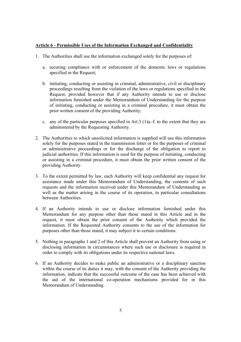### **Article 6 - Permissible Uses of the Information Exchanged and Confidentiality**

- 1. The Authorities shall use the information exchanged solely for the purposes of:
	- a. securing compliance with or enforcement of the domestic laws or regulations specified in the Request;
	- b. initiating, conducting or assisting in criminal, administrative, civil or disciplinary proceedings resulting from the violation of the laws or regulations specified in the Request, provided however that if any Authority intends to use or disclose information furnished under the Memorandum of Understanding for the purpose of initiating, conducting or assisting in a criminal procedure, it must obtain the prior written consent of the providing Authority;
	- c. any of the particular purposes specified in Art.3 (1)a.-f. to the extent that they are administered by the Requesting Authority.
- 2. The Authorities to which unsolicited information is supplied will use this information solely for the purposes stated in the transmission letter or for the purposes of criminal or administrative proceedings or for the discharge of the obligation to report to judicial authorities. If this information is used for the purpose of initiating, conducting or assisting in a criminal procedure, it must obtain the prior written consent of the providing Authority.
- 3. To the extent permitted by law, each Authority will keep confidential any request for assistance made under this Memorandum of Understanding, the contents of such requests and the information received under this Memorandum of Understanding as well as the matter arising in the course of its operation, in particular consultations between Authorities.
- 4. If an Authority intends to use or disclose information furnished under this Memorandum for any purpose other than those stated in this Article and in the request, it must obtain the prior consent of the Authority which provided the information. If the Requested Authority consents to the use of the information for purposes other than those stated, it may subject it to certain conditions.
- 5. Nothing in paragraphs 1 and 2 of this Article shall prevent an Authority from using or disclosing information in circumstances where such use or disclosure is required in order to comply with its obligations under its respective national laws.
- 6. If an Authority decides to make public an administrative or a disciplinary sanction within the course of its duties it may, with the consent of the Authority providing the information, indicate that the successful outcome of the case has been achieved with the aid of the international co-operation mechanisms provided for in this Memorandum of Understanding.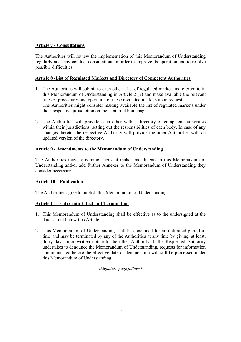# **Article 7 - Consultations**

The Authorities will review the implementation of this Memorandum of Understanding regularly and may conduct consultations in order to improve its operation and to resolve possible difficulties.

# **Article 8 -List of Regulated Markets and Directory of Competent Authorities**

- 1. The Authorities will submit to each other a list of regulated markets as referred to in this Memorandum of Understanding in Article 2 (7) and make available the relevant rules of procedures and operation of these regulated markets upon request. The Authorities might consider making available the list of regulated markets under their respective jurisdiction on their Internet homepages.
- 2. The Authorities will provide each other with a directory of competent authorities within their jurisdictions, setting out the responsibilities of each body. In case of any changes thereto, the respective Authority will provide the other Authorities with an updated version of the directory.

# **Article 9 - Amendments to the Memorandum of Understanding**

The Authorities may by common consent make amendments to this Memorandum of Understanding and/or add further Annexes to the Memorandum of Understanding they consider necessary.

# **Article 10 – Publication**

The Authorities agree to publish this Memorandum of Understanding

# **Article 11 - Entry into Effect and Termination**

- 1. This Memorandum of Understanding shall be effective as to the undersigned at the date set out below this Article.
- 2. This Memorandum of Understanding shall be concluded for an unlimited period of time and may be terminated by any of the Authorities at any time by giving, at least, thirty days prior written notice to the other Authority. If the Requested Authority undertakes to denounce the Memorandum of Understanding, requests for information communicated before the effective date of denunciation will still be processed under this Memorandum of Understanding.

*[Signature page follows]*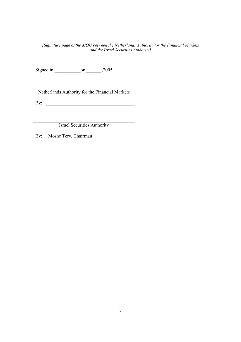#### *[Signature page of the MOU between the Netherlands Authority for the Financial Markets and the Israel Securities Authority]*

Signed in \_\_\_\_\_\_\_\_\_\_\_on \_\_\_\_\_\_ ,2005.

Netherlands Authority for the Financial Markets

By:  $\qquad \qquad$ 

Israel Securities Authority

By: Moshe Tery, Chairman